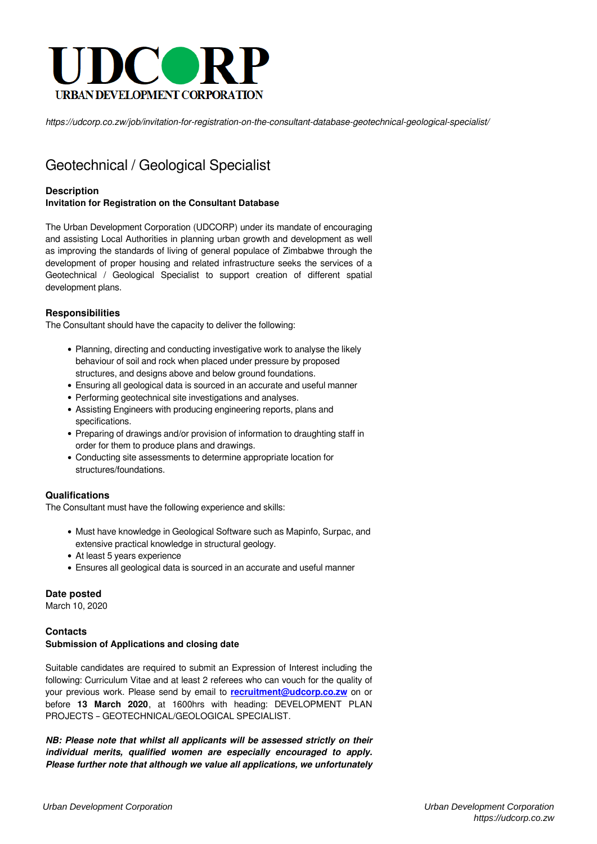

*https://udcorp.co.zw/job/invitation-for-registration-on-the-consultant-database-geotechnical-geological-specialist/*

# Geotechnical / Geological Specialist

## **Description**

# **Invitation for Registration on the Consultant Database**

The Urban Development Corporation (UDCORP) under its mandate of encouraging and assisting Local Authorities in planning urban growth and development as well as improving the standards of living of general populace of Zimbabwe through the development of proper housing and related infrastructure seeks the services of a Geotechnical / Geological Specialist to support creation of different spatial development plans.

## **Responsibilities**

The Consultant should have the capacity to deliver the following:

- Planning, directing and conducting investigative work to analyse the likely behaviour of soil and rock when placed under pressure by proposed structures, and designs above and below ground foundations.
- Ensuring all geological data is sourced in an accurate and useful manner
- Performing geotechnical site investigations and analyses.
- Assisting Engineers with producing engineering reports, plans and specifications.
- Preparing of drawings and/or provision of information to draughting staff in order for them to produce plans and drawings.
- Conducting site assessments to determine appropriate location for structures/foundations.

#### **Qualifications**

The Consultant must have the following experience and skills:

- Must have knowledge in Geological Software such as Mapinfo, Surpac, and extensive practical knowledge in structural geology.
- At least 5 years experience
- Ensures all geological data is sourced in an accurate and useful manner

#### **Date posted**

March 10, 2020

## **Contacts Submission of Applications and closing date**

Suitable candidates are required to submit an Expression of Interest including the following: Curriculum Vitae and at least 2 referees who can vouch for the quality of your previous work. Please send by email to **[recruitment@udcorp.co.zw](mailto:recruitment@udcorp.co.zw)** on or before **13 March 2020**, at 1600hrs with heading: DEVELOPMENT PLAN PROJECTS – GEOTECHNICAL/GEOLOGICAL SPECIALIST.

*NB: Please note that whilst all applicants will be assessed strictly on their individual merits, qualified women are especially encouraged to apply. Please further note that although we value all applications, we unfortunately*